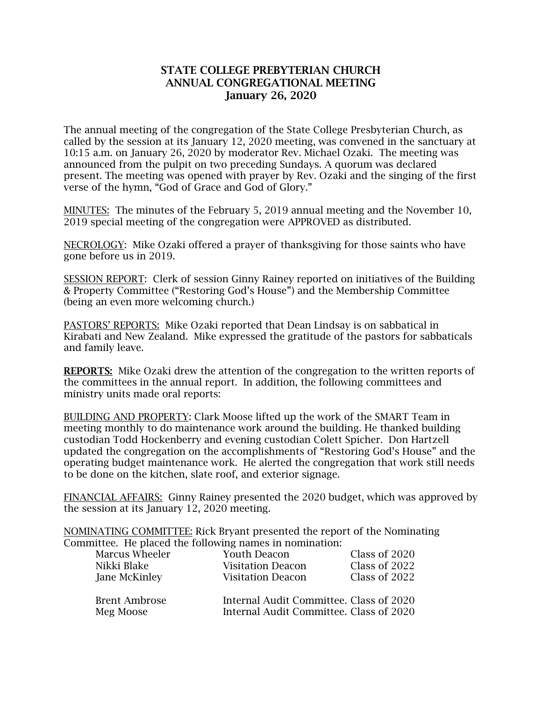## **STATE COLLEGE PREBYTERIAN CHURCH ANNUAL CONGREGATIONAL MEETING January 26, 2020**

The annual meeting of the congregation of the State College Presbyterian Church, as called by the session at its January 12, 2020 meeting, was convened in the sanctuary at 10:15 a.m. on January 26, 2020 by moderator Rev. Michael Ozaki. The meeting was announced from the pulpit on two preceding Sundays. A quorum was declared present. The meeting was opened with prayer by Rev. Ozaki and the singing of the first verse of the hymn, "God of Grace and God of Glory."

MINUTES: The minutes of the February 5, 2019 annual meeting and the November 10, 2019 special meeting of the congregation were APPROVED as distributed.

NECROLOGY: Mike Ozaki offered a prayer of thanksgiving for those saints who have gone before us in 2019.

SESSION REPORT: Clerk of session Ginny Rainey reported on initiatives of the Building & Property Committee ("Restoring God's House") and the Membership Committee (being an even more welcoming church.)

PASTORS' REPORTS: Mike Ozaki reported that Dean Lindsay is on sabbatical in Kirabati and New Zealand. Mike expressed the gratitude of the pastors for sabbaticals and family leave.

**REPORTS:** Mike Ozaki drew the attention of the congregation to the written reports of the committees in the annual report. In addition, the following committees and ministry units made oral reports:

BUILDING AND PROPERTY: Clark Moose lifted up the work of the SMART Team in meeting monthly to do maintenance work around the building. He thanked building custodian Todd Hockenberry and evening custodian Colett Spicher. Don Hartzell updated the congregation on the accomplishments of "Restoring God's House" and the operating budget maintenance work. He alerted the congregation that work still needs to be done on the kitchen, slate roof, and exterior signage.

FINANCIAL AFFAIRS: Ginny Rainey presented the 2020 budget, which was approved by the session at its January 12, 2020 meeting.

NOMINATING COMMITTEE: Rick Bryant presented the report of the Nominating Committee. He placed the following names in nomination:

| Marcus Wheeler                    | <b>Youth Deacon</b>                                                                | Class of 2020 |
|-----------------------------------|------------------------------------------------------------------------------------|---------------|
| Nikki Blake                       | <b>Visitation Deacon</b>                                                           | Class of 2022 |
| Jane McKinley                     | <b>Visitation Deacon</b>                                                           | Class of 2022 |
| <b>Brent Ambrose</b><br>Meg Moose | Internal Audit Committee. Class of 2020<br>Internal Audit Committee. Class of 2020 |               |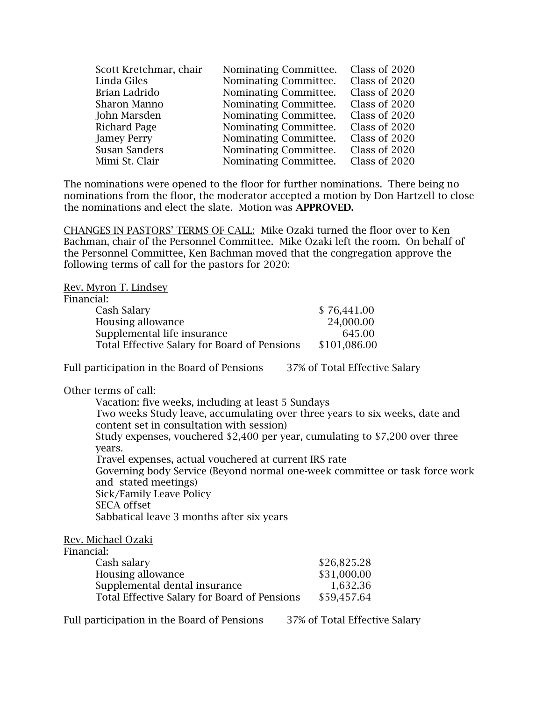| Scott Kretchmar, chair | Nominating Committee. | Class of 2020 |
|------------------------|-----------------------|---------------|
| Linda Giles            | Nominating Committee. | Class of 2020 |
| Brian Ladrido          | Nominating Committee. | Class of 2020 |
| Sharon Manno           | Nominating Committee. | Class of 2020 |
| John Marsden           | Nominating Committee. | Class of 2020 |
| <b>Richard Page</b>    | Nominating Committee. | Class of 2020 |
| <b>Jamey Perry</b>     | Nominating Committee. | Class of 2020 |
| <b>Susan Sanders</b>   | Nominating Committee. | Class of 2020 |
| Mimi St. Clair         | Nominating Committee. | Class of 2020 |

The nominations were opened to the floor for further nominations. There being no nominations from the floor, the moderator accepted a motion by Don Hartzell to close the nominations and elect the slate. Motion was **APPROVED.**

CHANGES IN PASTORS' TERMS OF CALL: Mike Ozaki turned the floor over to Ken Bachman, chair of the Personnel Committee. Mike Ozaki left the room. On behalf of the Personnel Committee, Ken Bachman moved that the congregation approve the following terms of call for the pastors for 2020:

Rev. Myron T. Lindsey

## Financial:

| таг:                                         |              |
|----------------------------------------------|--------------|
| Cash Salary                                  | \$76,441.00  |
| Housing allowance                            | 24,000.00    |
| Supplemental life insurance                  | 645.00       |
| Total Effective Salary for Board of Pensions | \$101,086.00 |

Full participation in the Board of Pensions 37% of Total Effective Salary

Other terms of call:

Vacation: five weeks, including at least 5 Sundays Two weeks Study leave, accumulating over three years to six weeks, date and content set in consultation with session) Study expenses, vouchered \$2,400 per year, cumulating to \$7,200 over three years. Travel expenses, actual vouchered at current IRS rate Governing body Service (Beyond normal one-week committee or task force work and stated meetings) Sick/Family Leave Policy SECA offset Sabbatical leave 3 months after six years

## Rev. Michael Ozaki

Financial:

| \$26,825.28 |
|-------------|
| \$31,000.00 |
| 1,632.36    |
| \$59,457.64 |
|             |

Full participation in the Board of Pensions 37% of Total Effective Salary